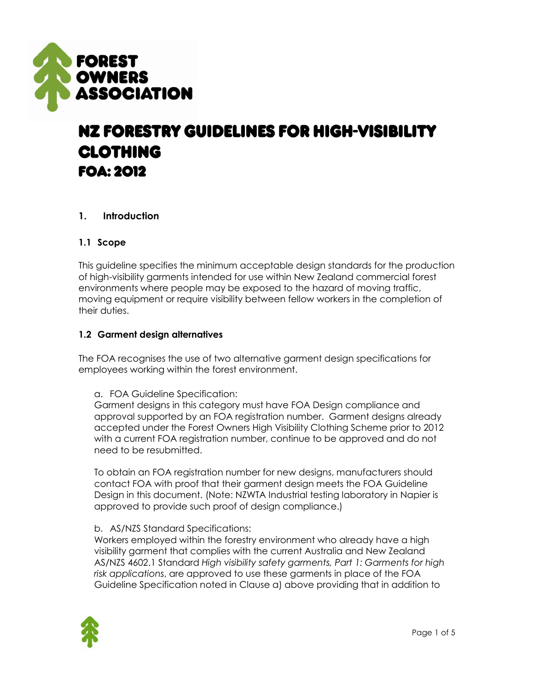

# NZ FORESTRY GUIDELINES FOR HIGH-VISIBILITY **CLOTHING FOA: 2012**

# **1. Introduction**

#### **1.1 Scope**

This guideline specifies the minimum acceptable design standards for the production of high-visibility garments intended for use within New Zealand commercial forest environments where people may be exposed to the hazard of moving traffic, moving equipment or require visibility between fellow workers in the completion of their duties.

#### **1.2 Garment design alternatives**

The FOA recognises the use of two alternative garment design specifications for employees working within the forest environment.

a. FOA Guideline Specification:

Garment designs in this category must have FOA Design compliance and approval supported by an FOA registration number. Garment designs already accepted under the Forest Owners High Visibility Clothing Scheme prior to 2012 with a current FOA registration number, continue to be approved and do not need to be resubmitted.

To obtain an FOA registration number for new designs, manufacturers should contact FOA with proof that their garment design meets the FOA Guideline Design in this document. (Note: NZWTA Industrial testing laboratory in Napier is approved to provide such proof of design compliance.)

#### b. AS/NZS Standard Specifications:

Workers employed within the forestry environment who already have a high visibility garment that complies with the current Australia and New Zealand AS/NZS 4602.1 Standard *High visibility safety garments, Part 1: Garments for high risk applications*, are approved to use these garments in place of the FOA Guideline Specification noted in Clause a) above providing that in addition to

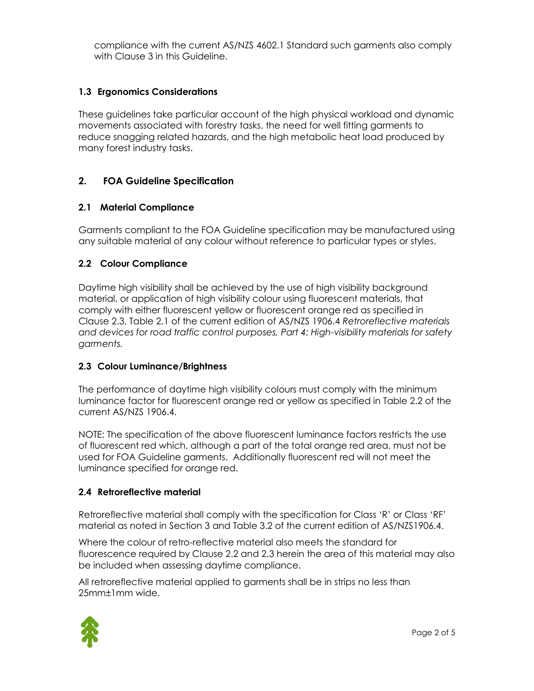compliance with the current AS/NZS 4602.1 Standard such garments also comply with Clause 3 in this Guideline.

#### **1.3 Ergonomics Considerations**

These guidelines take particular account of the high physical workload and dynamic movements associated with forestry tasks, the need for well fitting garments to reduce snagging related hazards, and the high metabolic heat load produced by many forest industry tasks.

#### **2. FOA Guideline Specification**

#### **2.1 Material Compliance**

Garments compliant to the FOA Guideline specification may be manufactured using any suitable material of any colour without reference to particular types or styles.

#### **2.2 Colour Compliance**

Daytime high visibility shall be achieved by the use of high visibility background material, or application of high visibility colour using fluorescent materials, that comply with either fluorescent yellow or fluorescent orange red as specified in Clause 2.3, Table 2.1 of the current edition of AS/NZS 1906.4 *Retroreflective materials and devices for road traffic control purposes, Part 4: High-visibility materials for safety garments.*

#### **2.3 Colour Luminance/Brightness**

The performance of daytime high visibility colours must comply with the minimum luminance factor for fluorescent orange red or yellow as specified in Table 2.2 of the current AS/NZS 1906.4.

NOTE: The specification of the above fluorescent luminance factors restricts the use of fluorescent red which, although a part of the total orange red area, must not be used for FOA Guideline garments. Additionally fluorescent red will not meet the luminance specified for orange red.

#### **2.4 Retroreflective material**

Retroreflective material shall comply with the specification for Class 'R' or Class 'RF' material as noted in Section 3 and Table 3.2 of the current edition of AS/NZS1906.4.

Where the colour of retro-reflective material also meets the standard for fluorescence required by Clause 2.2 and 2.3 herein the area of this material may also be included when assessing daytime compliance.

All retroreflective material applied to garments shall be in strips no less than 25mm±1mm wide.

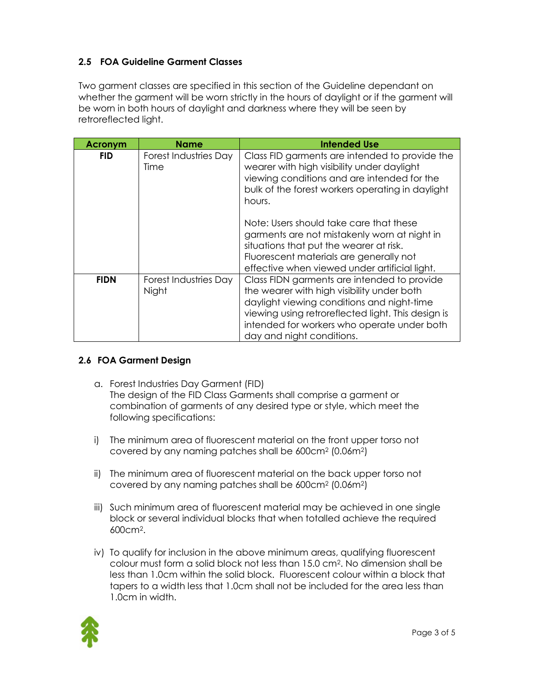# **2.5 FOA Guideline Garment Classes**

Two garment classes are specified in this section of the Guideline dependant on whether the garment will be worn strictly in the hours of daylight or if the garment will be worn in both hours of daylight and darkness where they will be seen by retroreflected light.

| Acronym     | Name                                 | <b>Intended Use</b>                                                                                                                                                                                                                                                       |
|-------------|--------------------------------------|---------------------------------------------------------------------------------------------------------------------------------------------------------------------------------------------------------------------------------------------------------------------------|
| <b>FID</b>  | <b>Forest Industries Day</b><br>Time | Class FID garments are intended to provide the<br>wearer with high visibility under daylight<br>viewing conditions and are intended for the<br>bulk of the forest workers operating in daylight<br>hours.                                                                 |
|             |                                      | Note: Users should take care that these<br>garments are not mistakenly worn at night in<br>situations that put the wearer at risk.<br>Fluorescent materials are generally not<br>effective when viewed under artificial light.                                            |
| <b>FIDN</b> | Forest Industries Day<br>Night       | Class FIDN garments are intended to provide<br>the wearer with high visibility under both<br>daylight viewing conditions and night-time<br>viewing using retroreflected light. This design is<br>intended for workers who operate under both<br>day and night conditions. |

# **2.6 FOA Garment Design**

- a. Forest Industries Day Garment (FID) The design of the FID Class Garments shall comprise a garment or combination of garments of any desired type or style, which meet the following specifications:
- i) The minimum area of fluorescent material on the front upper torso not covered by any naming patches shall be 600cm<sup>2</sup> (0.06m2)
- ii) The minimum area of fluorescent material on the back upper torso not covered by any naming patches shall be 600cm<sup>2</sup> (0.06m2)
- iii) Such minimum area of fluorescent material may be achieved in one single block or several individual blocks that when totalled achieve the required 600cm2.
- iv) To qualify for inclusion in the above minimum areas, qualifying fluorescent colour must form a solid block not less than 15.0 cm2. No dimension shall be less than 1.0cm within the solid block. Fluorescent colour within a block that tapers to a width less that 1.0cm shall not be included for the area less than 1.0cm in width.

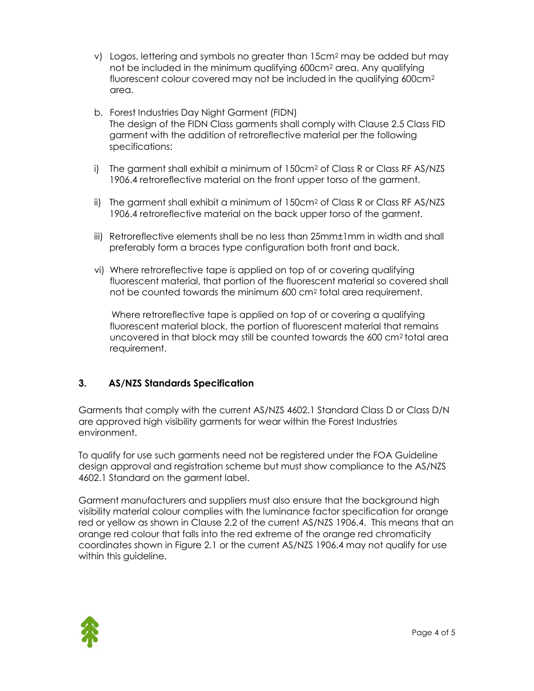- v) Logos, lettering and symbols no greater than 15cm<sup>2</sup> may be added but may not be included in the minimum qualifying 600cm<sup>2</sup> area. Any qualifying fluorescent colour covered may not be included in the qualifying 600cm<sup>2</sup> area.
- b. Forest Industries Day Night Garment (FIDN) The design of the FIDN Class garments shall comply with Clause 2.5 Class FID garment with the addition of retroreflective material per the following specifications:
- i) The garment shall exhibit a minimum of 150cm<sup>2</sup> of Class R or Class RF AS/NZS 1906.4 retroreflective material on the front upper torso of the garment.
- ii) The garment shall exhibit a minimum of 150cm<sup>2</sup> of Class R or Class RF AS/NZS 1906.4 retroreflective material on the back upper torso of the garment.
- iii) Retroreflective elements shall be no less than 25mm±1mm in width and shall preferably form a braces type configuration both front and back.
- vi) Where retroreflective tape is applied on top of or covering qualifying fluorescent material, that portion of the fluorescent material so covered shall not be counted towards the minimum 600 cm<sup>2</sup> total area requirement.

Where retroreflective tape is applied on top of or covering a qualifying fluorescent material block, the portion of fluorescent material that remains uncovered in that block may still be counted towards the 600 cm2 total area requirement.

# **3. AS/NZS Standards Specification**

Garments that comply with the current AS/NZS 4602.1 Standard Class D or Class D/N are approved high visibility garments for wear within the Forest Industries environment.

To qualify for use such garments need not be registered under the FOA Guideline design approval and registration scheme but must show compliance to the AS/NZS 4602.1 Standard on the garment label.

Garment manufacturers and suppliers must also ensure that the background high visibility material colour complies with the luminance factor specification for orange red or yellow as shown in Clause 2.2 of the current AS/NZS 1906.4. This means that an orange red colour that falls into the red extreme of the orange red chromaticity coordinates shown in Figure 2.1 or the current AS/NZS 1906.4 may not qualify for use within this guideline.